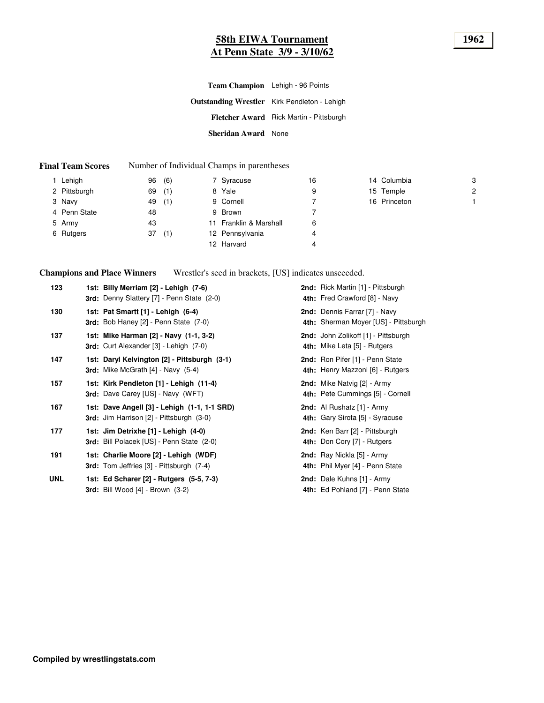# **58th EIWA Tournament 1962 At Penn State 3/9 - 3/10/62**

| Team Champion Lehigh - 96 Points |                                                     |
|----------------------------------|-----------------------------------------------------|
|                                  | <b>Outstanding Wrestler</b> Kirk Pendleton - Lehigh |
|                                  | Fletcher Award Rick Martin - Pittsburgh             |
| Sheridan Award None              |                                                     |

#### **Final Team Scores** Number of Individual Champs in parentheses

| 1 Lehigh     | (6)<br>96 | 7 Syracuse             | 16 | 14 Columbia  | 3              |
|--------------|-----------|------------------------|----|--------------|----------------|
| 2 Pittsburgh | (1)<br>69 | 8 Yale                 | 9  | 15 Temple    | $\overline{2}$ |
| 3 Navy       | (1)<br>49 | 9 Cornell              |    | 16 Princeton |                |
| 4 Penn State | 48        | 9 Brown                |    |              |                |
| 5 Army       | 43        | 11 Franklin & Marshall | 6  |              |                |
| 6 Rutgers    | (1)<br>37 | 12 Pennsylvania        | 4  |              |                |
|              |           | 12 Harvard             | 4  |              |                |

**Champions and Place Winners**

Wrestler's seed in brackets, [US] indicates unseeeded.

| 123        | 1st: Billy Merriam [2] - Lehigh (7-6)<br>3rd: Denny Slattery [7] - Penn State (2-0)             | 2nd: Rick Martin [1] - Pittsburgh<br>4th: Fred Crawford [8] - Navy    |
|------------|-------------------------------------------------------------------------------------------------|-----------------------------------------------------------------------|
| 130        | 1st: Pat Smartt [1] - Lehigh (6-4)<br><b>3rd:</b> Bob Haney $[2]$ - Penn State $(7-0)$          | 2nd: Dennis Farrar [7] - Navy<br>4th: Sherman Moyer [US] - Pittsburgh |
| 137        | 1st: Mike Harman [2] - Navy (1-1, 3-2)<br>3rd: Curt Alexander [3] - Lehigh (7-0)                | 2nd: John Zolikoff [1] - Pittsburgh<br>4th: Mike Leta [5] - Rutgers   |
| 147        | 1st: Daryl Kelvington [2] - Pittsburgh (3-1)<br><b>3rd:</b> Mike McGrath $[4]$ - Navy $(5-4)$   | 2nd: Ron Pifer [1] - Penn State<br>4th: Henry Mazzoni [6] - Rutgers   |
| 157        | 1st: Kirk Pendleton [1] - Lehigh (11-4)<br>3rd: Dave Carey [US] - Navy (WFT)                    | 2nd: Mike Natvig [2] - Army<br>4th: Pete Cummings [5] - Cornell       |
| 167        | 1st: Dave Angell [3] - Lehigh (1-1, 1-1 SRD)<br><b>3rd:</b> Jim Harrison [2] - Pittsburgh (3-0) | 2nd: Al Rushatz [1] - Army<br><b>4th:</b> Gary Sirota [5] - Syracuse  |
| 177        | 1st: Jim Detrixhe [1] - Lehigh (4-0)<br>3rd: Bill Polacek [US] - Penn State (2-0)               | 2nd: Ken Barr [2] - Pittsburgh<br>4th: Don Cory [7] - Rutgers         |
| 191        | 1st: Charlie Moore [2] - Lehigh (WDF)<br><b>3rd:</b> Tom Jeffries [3] - Pittsburgh (7-4)        | 2nd: Ray Nickla [5] - Army<br>4th: Phil Myer [4] - Penn State         |
| <b>UNL</b> | 1st: Ed Scharer [2] - Rutgers (5-5, 7-3)<br><b>3rd:</b> Bill Wood $[4]$ - Brown $(3-2)$         | 2nd: Dale Kuhns [1] - Army<br>4th: Ed Pohland [7] - Penn State        |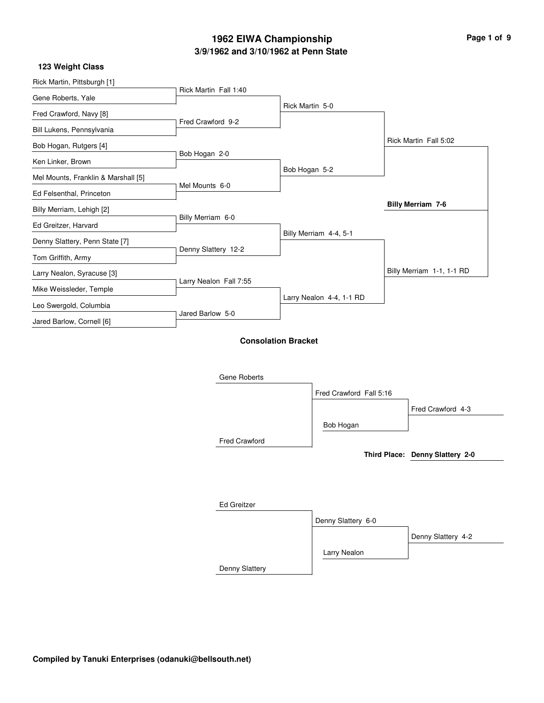# **3/9/1962 and 3/10/1962 at Penn State 1962 EIWA Championship Page 1 of 9**

| Rick Martin, Pittsburgh [1]         |                        |                            |                           |
|-------------------------------------|------------------------|----------------------------|---------------------------|
|                                     | Rick Martin Fall 1:40  |                            |                           |
| Gene Roberts, Yale                  |                        | Rick Martin 5-0            |                           |
| Fred Crawford, Navy [8]             |                        |                            |                           |
| Bill Lukens, Pennsylvania           | Fred Crawford 9-2      |                            |                           |
| Bob Hogan, Rutgers [4]              |                        |                            | Rick Martin Fall 5:02     |
| Ken Linker, Brown                   | Bob Hogan 2-0          |                            |                           |
|                                     |                        | Bob Hogan 5-2              |                           |
| Mel Mounts, Franklin & Marshall [5] | Mel Mounts 6-0         |                            |                           |
| Ed Felsenthal, Princeton            |                        |                            |                           |
| Billy Merriam, Lehigh [2]           |                        |                            | <b>Billy Merriam 7-6</b>  |
| Ed Greitzer, Harvard                | Billy Merriam 6-0      |                            |                           |
|                                     |                        | Billy Merriam 4-4, 5-1     |                           |
| Denny Slattery, Penn State [7]      | Denny Slattery 12-2    |                            |                           |
| Tom Griffith, Army                  |                        |                            |                           |
| Larry Nealon, Syracuse [3]          |                        |                            | Billy Merriam 1-1, 1-1 RD |
| Mike Weissleder, Temple             | Larry Nealon Fall 7:55 |                            |                           |
| Leo Swergold, Columbia              |                        | Larry Nealon 4-4, 1-1 RD   |                           |
| Jared Barlow, Cornell [6]           | Jared Barlow 5-0       |                            |                           |
|                                     |                        | <b>Consolation Bracket</b> |                           |

| Gene Roberts         |                         |                                 |
|----------------------|-------------------------|---------------------------------|
|                      | Fred Crawford Fall 5:16 |                                 |
|                      |                         | Fred Crawford 4-3               |
|                      | Bob Hogan               |                                 |
| <b>Fred Crawford</b> |                         |                                 |
|                      |                         | Third Place: Denny Slattery 2-0 |
|                      |                         |                                 |
|                      |                         |                                 |
| <b>Ed Greitzer</b>   |                         |                                 |
|                      | Denny Slattery 6-0      |                                 |
|                      |                         | Denny Slattery 4-2              |
|                      | Larry Nealon            |                                 |
| Denny Slattery       |                         |                                 |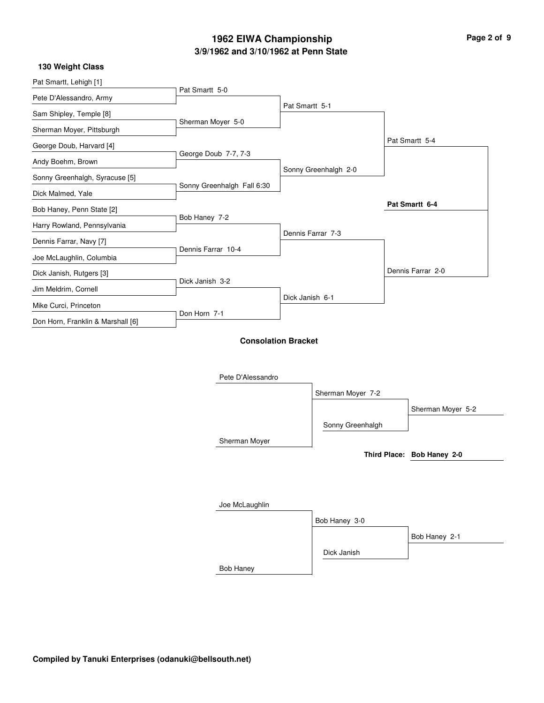# **3/9/1962 and 3/10/1962 at Penn State 1962 EIWA Championship**

| Page 2 of 9 |  |  |  |
|-------------|--|--|--|
|-------------|--|--|--|

i.

### **130 Weight Class**

| Pat Smartt, Lehigh [1]            |                            |                      |                            |
|-----------------------------------|----------------------------|----------------------|----------------------------|
| Pete D'Alessandro, Army           | Pat Smartt 5-0             |                      |                            |
| Sam Shipley, Temple [8]           |                            | Pat Smartt 5-1       |                            |
| Sherman Moyer, Pittsburgh         | Sherman Moyer 5-0          |                      |                            |
| George Doub, Harvard [4]          |                            |                      | Pat Smartt 5-4             |
| Andy Boehm, Brown                 | George Doub 7-7, 7-3       |                      |                            |
| Sonny Greenhalgh, Syracuse [5]    |                            | Sonny Greenhalgh 2-0 |                            |
| Dick Malmed, Yale                 | Sonny Greenhalgh Fall 6:30 |                      |                            |
| Bob Haney, Penn State [2]         |                            |                      | Pat Smartt 6-4             |
| Harry Rowland, Pennsylvania       | Bob Haney 7-2              |                      |                            |
| Dennis Farrar, Navy [7]           |                            | Dennis Farrar 7-3    |                            |
| Joe McLaughlin, Columbia          | Dennis Farrar 10-4         |                      |                            |
| Dick Janish, Rutgers [3]          |                            |                      | Dennis Farrar 2-0          |
| Jim Meldrim, Cornell              | Dick Janish 3-2            |                      |                            |
| Mike Curci, Princeton             |                            | Dick Janish 6-1      |                            |
| Don Horn, Franklin & Marshall [6] | Don Horn 7-1               |                      |                            |
|                                   | Pete D'Alessandro          |                      |                            |
|                                   |                            | Sherman Moyer 7-2    |                            |
|                                   |                            |                      | Sherman Moyer 5-2          |
|                                   |                            | Sonny Greenhalgh     |                            |
|                                   | Sherman Moyer              |                      | Third Place: Bob Haney 2-0 |
|                                   |                            |                      |                            |
|                                   |                            |                      |                            |
|                                   |                            |                      |                            |
|                                   | Joe McLaughlin             |                      |                            |
|                                   |                            | Bob Haney 3-0        |                            |
|                                   |                            |                      | Bob Haney 2-1              |
|                                   |                            | Dick Janish          |                            |
|                                   | <b>Bob Haney</b>           |                      |                            |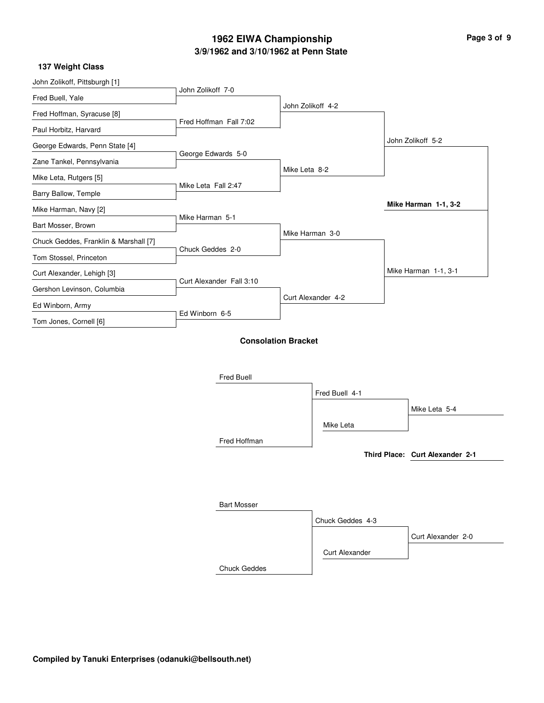# **3/9/1962 and 3/10/1962 at Penn State 1962 EIWA Championship Page 3 of 9**

| 137 Weight Class |
|------------------|
|------------------|

| John Zolikoff, Pittsburgh [1]         |                          |                            |                    |                                 |
|---------------------------------------|--------------------------|----------------------------|--------------------|---------------------------------|
| Fred Buell, Yale                      | John Zolikoff 7-0        |                            |                    |                                 |
| Fred Hoffman, Syracuse [8]            |                          |                            | John Zolikoff 4-2  |                                 |
| Paul Horbitz, Harvard                 | Fred Hoffman Fall 7:02   |                            |                    |                                 |
| George Edwards, Penn State [4]        |                          |                            |                    | John Zolikoff 5-2               |
| Zane Tankel, Pennsylvania             | George Edwards 5-0       |                            |                    |                                 |
| Mike Leta, Rutgers [5]                |                          | Mike Leta 8-2              |                    |                                 |
| Barry Ballow, Temple                  | Mike Leta Fall 2:47      |                            |                    |                                 |
| Mike Harman, Navy [2]                 |                          |                            |                    | Mike Harman 1-1, 3-2            |
| Bart Mosser, Brown                    | Mike Harman 5-1          |                            |                    |                                 |
| Chuck Geddes, Franklin & Marshall [7] |                          |                            | Mike Harman 3-0    |                                 |
| Tom Stossel, Princeton                | Chuck Geddes 2-0         |                            |                    |                                 |
| Curt Alexander, Lehigh [3]            |                          |                            |                    | Mike Harman 1-1, 3-1            |
| Gershon Levinson, Columbia            | Curt Alexander Fall 3:10 |                            |                    |                                 |
| Ed Winborn, Army                      |                          |                            | Curt Alexander 4-2 |                                 |
| Tom Jones, Cornell [6]                | Ed Winborn 6-5           |                            |                    |                                 |
|                                       |                          | <b>Consolation Bracket</b> |                    |                                 |
|                                       | Fred Buell               |                            |                    |                                 |
|                                       |                          |                            | Fred Buell 4-1     |                                 |
|                                       |                          |                            |                    | Mike Leta 5-4                   |
|                                       |                          |                            | Mike Leta          |                                 |
|                                       | Fred Hoffman             |                            |                    |                                 |
|                                       |                          |                            |                    | Third Place: Curt Alexander 2-1 |
|                                       |                          |                            |                    |                                 |
|                                       | <b>Bart Mosser</b>       |                            |                    |                                 |
|                                       |                          |                            | Chuck Geddes 4-3   |                                 |
|                                       |                          |                            |                    | Curt Alexander 2-0              |
|                                       |                          |                            |                    |                                 |

Chuck Geddes

Curt Alexander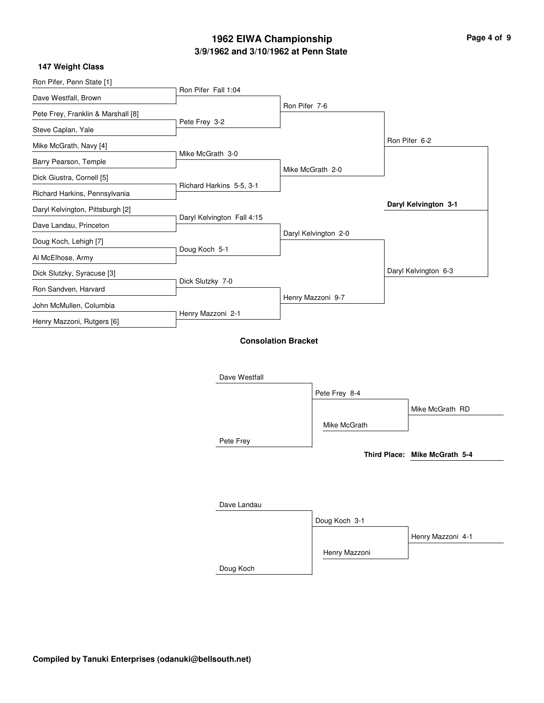# **3/9/1962 and 3/10/1962 at Penn State 1962 EIWA Championship**

 $\overline{\phantom{0}}$ 

### **147 Weight Class**

| Ron Pifer, Penn State [1]          |                            |                            |               |                               |
|------------------------------------|----------------------------|----------------------------|---------------|-------------------------------|
| Dave Westfall, Brown               | Ron Pifer Fall 1:04        |                            |               |                               |
| Pete Frey, Franklin & Marshall [8] |                            | Ron Pifer 7-6              |               |                               |
| Steve Caplan, Yale                 | Pete Frey 3-2              |                            |               |                               |
| Mike McGrath, Navy [4]             |                            |                            |               | Ron Pifer 6-2                 |
| Barry Pearson, Temple              | Mike McGrath 3-0           |                            |               |                               |
| Dick Giustra, Cornell [5]          |                            | Mike McGrath 2-0           |               |                               |
| Richard Harkins, Pennsylvania      | Richard Harkins 5-5, 3-1   |                            |               |                               |
| Daryl Kelvington, Pittsburgh [2]   |                            |                            |               | Daryl Kelvington 3-1          |
| Dave Landau, Princeton             | Daryl Kelvington Fall 4:15 |                            |               |                               |
| Doug Koch, Lehigh [7]              |                            | Daryl Kelvington 2-0       |               |                               |
| Al McElhose, Army                  | Doug Koch 5-1              |                            |               |                               |
| Dick Slutzky, Syracuse [3]         |                            |                            |               | Daryl Kelvington 6-3          |
| Ron Sandven, Harvard               | Dick Slutzky 7-0           |                            |               |                               |
| John McMullen, Columbia            |                            | Henry Mazzoni 9-7          |               |                               |
| Henry Mazzoni, Rutgers [6]         | Henry Mazzoni 2-1          |                            |               |                               |
|                                    |                            | <b>Consolation Bracket</b> |               |                               |
|                                    |                            |                            |               |                               |
|                                    | Dave Westfall              |                            |               |                               |
|                                    |                            |                            | Pete Frey 8-4 |                               |
|                                    |                            |                            |               |                               |
|                                    |                            |                            |               | Mike McGrath RD               |
|                                    |                            |                            | Mike McGrath  |                               |
|                                    | Pete Frey                  |                            |               |                               |
|                                    |                            |                            |               | Third Place: Mike McGrath 5-4 |
|                                    |                            |                            |               |                               |
|                                    |                            |                            |               |                               |

| Dave Landau |               |                   |
|-------------|---------------|-------------------|
|             | Doug Koch 3-1 |                   |
|             |               | Henry Mazzoni 4-1 |
|             | Henry Mazzoni |                   |
| Doug Koch   |               |                   |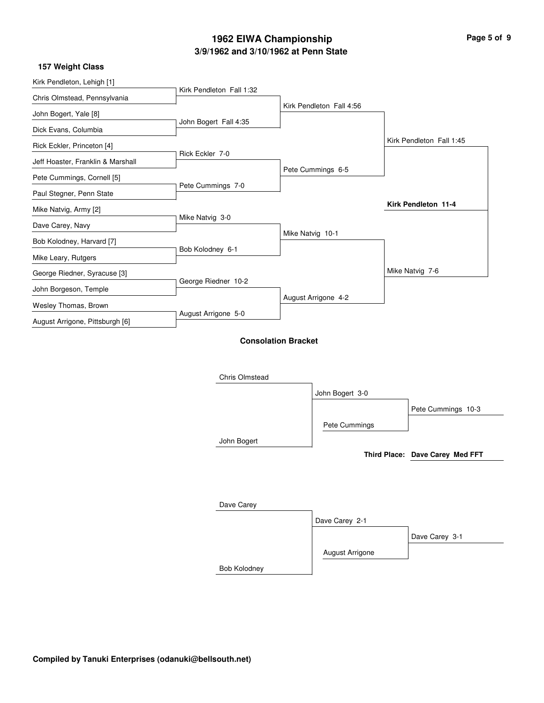# **3/9/1962 and 3/10/1962 at Penn State 1962 EIWA Championship Page 5 of 9**

|  |  | <b>157 Weight Class</b> |  |
|--|--|-------------------------|--|
|  |  |                         |  |

| 157 weight Glass                  |                            |                  |                          |                                 |
|-----------------------------------|----------------------------|------------------|--------------------------|---------------------------------|
| Kirk Pendleton, Lehigh [1]        |                            |                  |                          |                                 |
| Chris Olmstead, Pennsylvania      | Kirk Pendleton Fall 1:32   |                  |                          |                                 |
| John Bogert, Yale [8]             |                            |                  | Kirk Pendleton Fall 4:56 |                                 |
| Dick Evans, Columbia              | John Bogert Fall 4:35      |                  |                          |                                 |
| Rick Eckler, Princeton [4]        |                            |                  |                          | Kirk Pendleton Fall 1:45        |
| Jeff Hoaster, Franklin & Marshall | Rick Eckler 7-0            |                  |                          |                                 |
| Pete Cummings, Cornell [5]        |                            |                  | Pete Cummings 6-5        |                                 |
| Paul Stegner, Penn State          | Pete Cummings 7-0          |                  |                          |                                 |
| Mike Natvig, Army [2]             |                            |                  |                          | Kirk Pendleton 11-4             |
| Dave Carey, Navy                  | Mike Natvig 3-0            |                  |                          |                                 |
| Bob Kolodney, Harvard [7]         |                            | Mike Natvig 10-1 |                          |                                 |
| Mike Leary, Rutgers               | Bob Kolodney 6-1           |                  |                          |                                 |
| George Riedner, Syracuse [3]      |                            |                  |                          | Mike Natvig 7-6                 |
| John Borgeson, Temple             | George Riedner 10-2        |                  |                          |                                 |
| Wesley Thomas, Brown              |                            |                  | August Arrigone 4-2      |                                 |
| August Arrigone, Pittsburgh [6]   | August Arrigone 5-0        |                  |                          |                                 |
|                                   | <b>Consolation Bracket</b> |                  |                          |                                 |
|                                   |                            |                  |                          |                                 |
|                                   |                            |                  |                          |                                 |
|                                   | <b>Chris Olmstead</b>      |                  |                          |                                 |
|                                   |                            |                  | John Bogert 3-0          |                                 |
|                                   |                            |                  |                          | Pete Cummings 10-3              |
|                                   |                            |                  | Pete Cummings            |                                 |
|                                   | John Bogert                |                  |                          |                                 |
|                                   |                            |                  |                          | Third Place: Dave Carey Med FFT |
|                                   |                            |                  |                          |                                 |
|                                   |                            |                  |                          |                                 |
|                                   | Dave Carey                 |                  |                          |                                 |
|                                   |                            |                  | Dave Carey 2-1           |                                 |
|                                   |                            |                  |                          | Dave Carey 3-1                  |
|                                   |                            |                  | August Arrigone          |                                 |
|                                   | Bob Kolodney               |                  |                          |                                 |
|                                   |                            |                  |                          |                                 |

 $\overline{\phantom{0}}$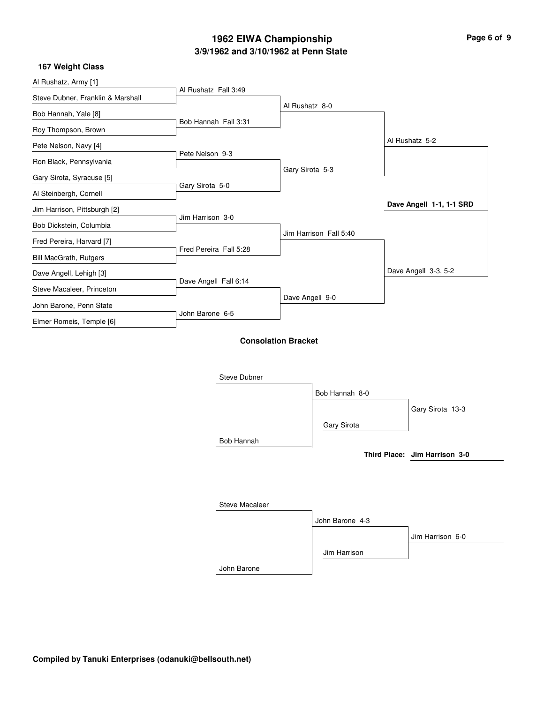# **3/9/1962 and 3/10/1962 at Penn State 1962 EIWA Championship Page 6 of 9**

| Al Rushatz, Army [1]              |                            |                 |                        |                               |
|-----------------------------------|----------------------------|-----------------|------------------------|-------------------------------|
| Steve Dubner, Franklin & Marshall | Al Rushatz Fall 3:49       |                 |                        |                               |
| Bob Hannah, Yale [8]              |                            | Al Rushatz 8-0  |                        |                               |
| Roy Thompson, Brown               | Bob Hannah Fall 3:31       |                 |                        |                               |
| Pete Nelson, Navy [4]             |                            |                 |                        | Al Rushatz 5-2                |
| Ron Black, Pennsylvania           | Pete Nelson 9-3            |                 |                        |                               |
| Gary Sirota, Syracuse [5]         |                            | Gary Sirota 5-3 |                        |                               |
|                                   | Gary Sirota 5-0            |                 |                        |                               |
| Al Steinbergh, Cornell            |                            |                 |                        | Dave Angell 1-1, 1-1 SRD      |
| Jim Harrison, Pittsburgh [2]      | Jim Harrison 3-0           |                 |                        |                               |
| Bob Dickstein, Columbia           |                            |                 | Jim Harrison Fall 5:40 |                               |
| Fred Pereira, Harvard [7]         |                            |                 |                        |                               |
| <b>Bill MacGrath, Rutgers</b>     | Fred Pereira Fall 5:28     |                 |                        |                               |
| Dave Angell, Lehigh [3]           |                            |                 |                        | Dave Angell 3-3, 5-2          |
| Steve Macaleer, Princeton         | Dave Angell Fall 6:14      |                 |                        |                               |
| John Barone, Penn State           |                            | Dave Angell 9-0 |                        |                               |
| Elmer Romeis, Temple [6]          | John Barone 6-5            |                 |                        |                               |
|                                   | <b>Consolation Bracket</b> |                 |                        |                               |
|                                   | Steve Dubner               |                 |                        |                               |
|                                   |                            |                 | Bob Hannah 8-0         |                               |
|                                   |                            |                 |                        |                               |
|                                   |                            |                 |                        | Gary Sirota 13-3              |
|                                   |                            |                 | Gary Sirota            |                               |
|                                   | <b>Bob Hannah</b>          |                 |                        |                               |
|                                   |                            |                 |                        | Third Place: Jim Harrison 3-0 |

| Steve Macaleer |                 |                  |
|----------------|-----------------|------------------|
|                | John Barone 4-3 |                  |
|                |                 | Jim Harrison 6-0 |
|                | Jim Harrison    |                  |
| John Barone    |                 |                  |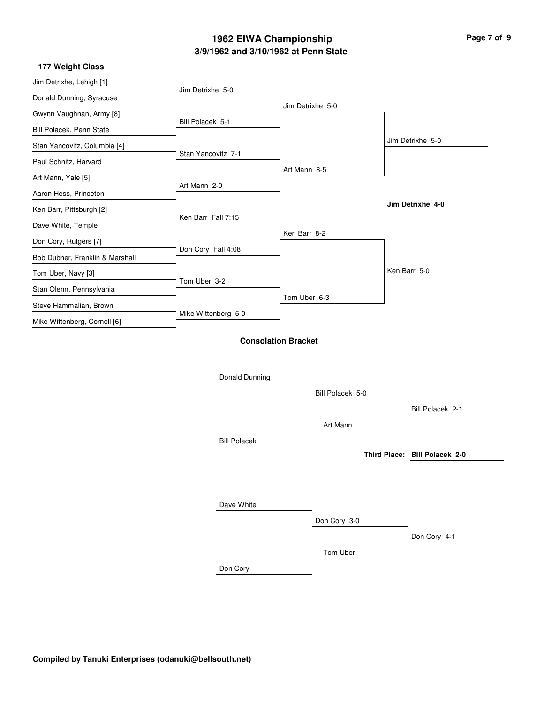# **3/9/1962 and 3/10/1962 at Penn State 1962 EIWA Championship Page 7 of 9**

| 177 Weight Class |  |
|------------------|--|
|                  |  |

| Jim Detrixhe, Lehigh [1]        |                            |                  |                  |                               |
|---------------------------------|----------------------------|------------------|------------------|-------------------------------|
| Donald Dunning, Syracuse        | Jim Detrixhe 5-0           |                  |                  |                               |
| Gwynn Vaughnan, Army [8]        |                            | Jim Detrixhe 5-0 |                  |                               |
| Bill Polacek, Penn State        | Bill Polacek 5-1           |                  |                  |                               |
| Stan Yancovitz, Columbia [4]    |                            |                  |                  | Jim Detrixhe 5-0              |
| Paul Schnitz, Harvard           | Stan Yancovitz 7-1         |                  |                  |                               |
| Art Mann, Yale [5]              |                            | Art Mann 8-5     |                  |                               |
| Aaron Hess, Princeton           | Art Mann 2-0               |                  |                  |                               |
| Ken Barr, Pittsburgh [2]        |                            |                  |                  | Jim Detrixhe 4-0              |
| Dave White, Temple              | Ken Barr Fall 7:15         |                  |                  |                               |
| Don Cory, Rutgers [7]           |                            | Ken Barr 8-2     |                  |                               |
| Bob Dubner, Franklin & Marshall | Don Cory Fall 4:08         |                  |                  |                               |
| Tom Uber, Navy [3]              |                            |                  |                  | Ken Barr 5-0                  |
| Stan Olenn, Pennsylvania        | Tom Uber 3-2               |                  |                  |                               |
| Steve Hammalian, Brown          |                            | Tom Uber 6-3     |                  |                               |
| Mike Wittenberg, Cornell [6]    | Mike Wittenberg 5-0        |                  |                  |                               |
|                                 | <b>Consolation Bracket</b> |                  |                  |                               |
|                                 |                            |                  |                  |                               |
|                                 |                            |                  |                  |                               |
|                                 | Donald Dunning             |                  |                  |                               |
|                                 |                            |                  | Bill Polacek 5-0 |                               |
|                                 |                            |                  |                  | Bill Polacek 2-1              |
|                                 |                            |                  | Art Mann         |                               |
|                                 | <b>Bill Polacek</b>        |                  |                  |                               |
|                                 |                            |                  |                  | Third Place: Bill Polacek 2-0 |
|                                 |                            |                  |                  |                               |

| Dave White |              |              |
|------------|--------------|--------------|
|            | Don Cory 3-0 |              |
|            |              | Don Cory 4-1 |
|            | Tom Uber     |              |
| Don Cory   |              |              |

i.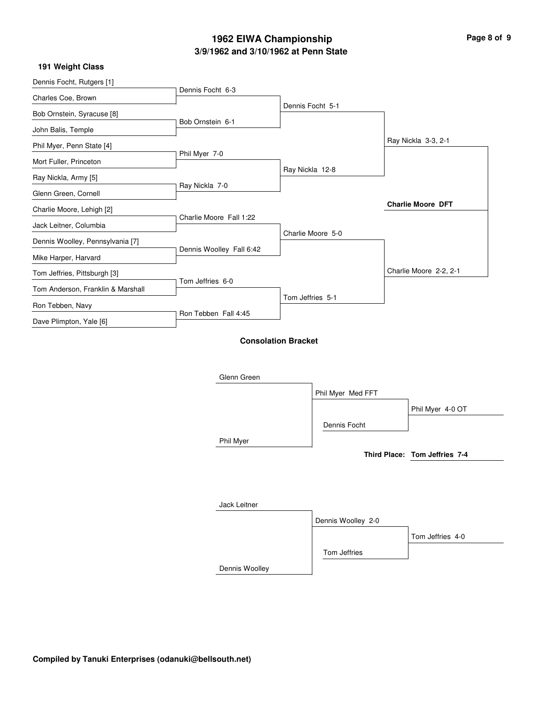# **3/9/1962 and 3/10/1962 at Penn State 1962 EIWA Championship Page 8 of 9**

| 191 Weight Class |  |
|------------------|--|
|------------------|--|

| Dennis Focht, Rutgers [1]         | Dennis Focht 6-3         |                            |                    |                               |
|-----------------------------------|--------------------------|----------------------------|--------------------|-------------------------------|
| Charles Coe, Brown                |                          |                            |                    |                               |
| Bob Ornstein, Syracuse [8]        |                          |                            | Dennis Focht 5-1   |                               |
| John Balis, Temple                | Bob Ornstein 6-1         |                            |                    |                               |
| Phil Myer, Penn State [4]         |                          |                            |                    | Ray Nickla 3-3, 2-1           |
| Mort Fuller, Princeton            | Phil Myer 7-0            |                            |                    |                               |
| Ray Nickla, Army [5]              |                          | Ray Nickla 12-8            |                    |                               |
| Glenn Green, Cornell              | Ray Nickla 7-0           |                            |                    |                               |
| Charlie Moore, Lehigh [2]         |                          |                            |                    | <b>Charlie Moore DFT</b>      |
| Jack Leitner, Columbia            | Charlie Moore Fall 1:22  |                            |                    |                               |
| Dennis Woolley, Pennsylvania [7]  |                          |                            | Charlie Moore 5-0  |                               |
| Mike Harper, Harvard              | Dennis Woolley Fall 6:42 |                            |                    |                               |
| Tom Jeffries, Pittsburgh [3]      |                          |                            |                    | Charlie Moore 2-2, 2-1        |
| Tom Anderson, Franklin & Marshall | Tom Jeffries 6-0         |                            |                    |                               |
| Ron Tebben, Navy                  |                          | Tom Jeffries 5-1           |                    |                               |
| Dave Plimpton, Yale [6]           | Ron Tebben Fall 4:45     |                            |                    |                               |
|                                   |                          |                            |                    |                               |
|                                   |                          | <b>Consolation Bracket</b> |                    |                               |
|                                   |                          |                            |                    |                               |
|                                   | Glenn Green              |                            |                    |                               |
|                                   |                          |                            | Phil Myer Med FFT  |                               |
|                                   |                          |                            |                    | Phil Myer 4-0 OT              |
|                                   |                          |                            | Dennis Focht       |                               |
|                                   | Phil Myer                |                            |                    |                               |
|                                   |                          |                            |                    | Third Place: Tom Jeffries 7-4 |
|                                   |                          |                            |                    |                               |
|                                   |                          |                            |                    |                               |
|                                   | Jack Leitner             |                            |                    |                               |
|                                   |                          |                            | Dennis Woolley 2-0 |                               |
|                                   |                          |                            |                    | Tom Jeffries 4-0              |
|                                   |                          |                            |                    |                               |

Dennis Woolley

Tom Jeffries